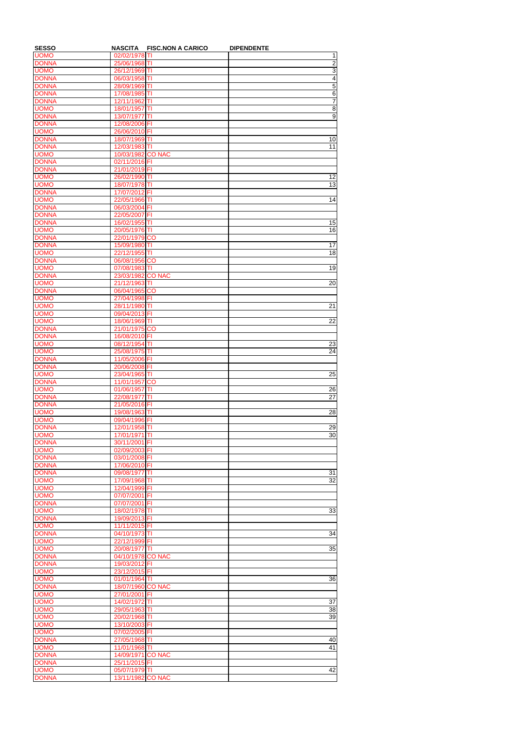| <b>SESSO</b>                 | <b>NASCITA</b>                     | <b>FISC.NON A CARICO</b> | <b>DIPENDENTE</b>                |
|------------------------------|------------------------------------|--------------------------|----------------------------------|
| <b>UOMO</b>                  | 02/02/1978 TI                      |                          | 1                                |
| <b>DONNA</b><br><b>UOMO</b>  | 25/06/1968 TI<br>26/12/1969 TI     |                          | $\overline{2}$<br>$\overline{3}$ |
| <b>DONNA</b>                 | 06/03/1958 TI                      |                          | $\overline{\mathbf{4}}$          |
| <b>DONNA</b>                 | 28/09/1969 TI                      |                          |                                  |
| <b>DONNA</b>                 | 17/08/1985 TI                      |                          | $\frac{5}{6}$                    |
| <b>DONNA</b>                 | 12/11/1962 TI                      |                          | 7                                |
| <b>UOMO</b>                  | 18/01/1957 TI                      |                          | $\overline{8}$                   |
| <b>DONNA</b>                 | 13/07/1977 TI                      |                          | $\overline{9}$                   |
| <b>DONNA</b>                 | 12/08/2006 FI                      |                          |                                  |
| <b>UOMO</b>                  | 26/06/2010 FI                      |                          |                                  |
| <b>DONNA</b>                 | 18/07/1969 TI                      |                          | 10                               |
| <b>DONNA</b>                 | 12/03/1983 TI                      |                          | 11                               |
| <b>UOMO</b>                  | 10/03/1982 CO NAC                  |                          |                                  |
| <b>DONNA</b>                 | 02/11/2016 FI                      |                          |                                  |
| <b>DONNA</b><br><b>UOMO</b>  | 21/01/2019 FI<br>26/02/1990 TI     |                          | 12                               |
| <b>UOMO</b>                  | 18/07/1978 TI                      |                          | $\overline{13}$                  |
| <b>DONNA</b>                 | 17/07/2012 FI                      |                          |                                  |
| <b>UOMO</b>                  | 22/05/1966 TI                      |                          | 14                               |
| <b>DONNA</b>                 | 06/03/2004 FI                      |                          |                                  |
| <b>DONNA</b>                 | 22/05/2007 FI                      |                          |                                  |
| <b>DONNA</b>                 | 16/02/1955 TI                      |                          | 15                               |
| <b>UOMO</b>                  | 20/05/1976 TI                      |                          | 16                               |
| <b>DONNA</b>                 | 22/01/1979 CO                      |                          |                                  |
| <b>DONNA</b>                 | 15/09/1980 TI                      |                          | 17                               |
| <b>UOMO</b>                  | 22/12/1955 TI                      |                          | 18                               |
| <b>DONNA</b>                 | 06/08/1956 CO                      |                          |                                  |
| <b>UOMO</b>                  | 07/08/1983 TI                      |                          | 19                               |
| <b>DONNA</b>                 | 23/03/1982 CO NAC                  |                          |                                  |
| <b>UOMO</b><br><b>DONNA</b>  | 21/12/1963 TI<br>06/04/1965 CO     |                          | $\overline{20}$                  |
| <b>UOMO</b>                  | 27/04/1998 FI                      |                          |                                  |
| <b>UOMO</b>                  | 28/11/1980 TI                      |                          | 21                               |
| <b>UOMO</b>                  | 09/04/2013 FI                      |                          |                                  |
| <b>UOMO</b>                  | 18/06/1969 TI                      |                          | 22                               |
| <b>DONNA</b>                 | 21/01/1975 CO                      |                          |                                  |
| <b>DONNA</b>                 | 16/08/2010 FI                      |                          |                                  |
| <b>UOMO</b>                  | 08/12/1954 TI                      |                          | 23                               |
| <b>UOMO</b>                  | 25/08/1975 TI                      |                          | $\overline{24}$                  |
| <b>DONNA</b>                 | 11/05/2006 FI                      |                          |                                  |
| <b>DONNA</b>                 | 20/06/2008 FI                      |                          |                                  |
| <b>UOMO</b>                  | 23/04/1965 TI                      |                          | 25                               |
| <b>DONNA</b>                 | 11/01/1957 CO                      |                          |                                  |
| <b>UOMO</b>                  | 01/06/1957 TI                      |                          | 26                               |
| <b>DONNA</b><br><b>DONNA</b> | 22/08/1977 TI                      |                          | $\overline{27}$                  |
| <b>UOMO</b>                  | 21/05/2016 FI<br>19/08/1963 TI     |                          | $\overline{28}$                  |
| <b>UOMO</b>                  | 09/04/1996 FI                      |                          |                                  |
| <b>DONNA</b>                 | 12/01/1958 TI                      |                          | 29                               |
| <b>UOMO</b>                  | 17/01/1971 TI                      |                          | $\overline{30}$                  |
| <b>DONNA</b>                 | 30/11/2001 FI                      |                          |                                  |
| <b>UOMO</b>                  | 02/09/2003 FI                      |                          |                                  |
| <b>DONNA</b>                 | 03/01/2008 FI                      |                          |                                  |
| <b>DONNA</b>                 | 17/06/2010 FI                      |                          |                                  |
| <b>DONNA</b>                 | 09/08/1977 TI                      |                          | 31                               |
| <b>UOMO</b>                  | 17/09/1968 TI                      |                          | $\overline{32}$                  |
| <b>UOMO</b>                  | 12/04/1999 FI                      |                          |                                  |
| <b>UOMO</b>                  | 07/07/2001 FI                      |                          |                                  |
| <b>DONNA</b>                 | 07/07/2001 FI                      |                          |                                  |
| <b>UOMO</b>                  | 18/02/1978 TI                      |                          | 33                               |
| <b>DONNA</b><br><b>UOMO</b>  | 19/09/2013 FI<br>11/11/2015 FI     |                          |                                  |
| <b>DONNA</b>                 | 04/10/1973 TI                      |                          | 34                               |
| <b>UOMO</b>                  | 22/12/1999 FI                      |                          |                                  |
| <b>UOMO</b>                  | 20/08/1977 TI                      |                          | 35                               |
| <b>DONNA</b>                 | 04/10/1978 CO NAC                  |                          |                                  |
| <b>DONNA</b>                 | 19/03/2012 FI                      |                          |                                  |
| <b>UOMO</b>                  | 23/12/2015 FI                      |                          |                                  |
| <b>UOMO</b>                  | 01/01/1964 TI                      |                          | 36                               |
| <b>DONNA</b>                 | 18/07/1960 CO NAC                  |                          |                                  |
| <b>UOMO</b>                  | 27/01/2001 FI                      |                          |                                  |
| <b>UOMO</b>                  | 14/02/1972 TI                      |                          | 37                               |
| <b>UOMO</b>                  | 29/05/1963 TI                      |                          | $38\,$                           |
| <b>UOMO</b>                  | 20/02/1968 TI                      |                          | 39                               |
| <b>UOMO</b>                  | 13/10/2003 FI                      |                          |                                  |
| <b>UOMO</b>                  | 07/02/2005 FI                      |                          |                                  |
| <b>DONNA</b>                 | 27/05/1968 TI                      |                          | 40                               |
| <b>UOMO</b>                  | 11/01/1968 TI<br>14/09/1971 CO NAC |                          | $\overline{41}$                  |
| <b>DONNA</b><br><b>DONNA</b> | 25/11/2015 FI                      |                          |                                  |
|                              |                                    |                          |                                  |
| <b>UOMO</b>                  | 05/07/1979 TI                      |                          | 42                               |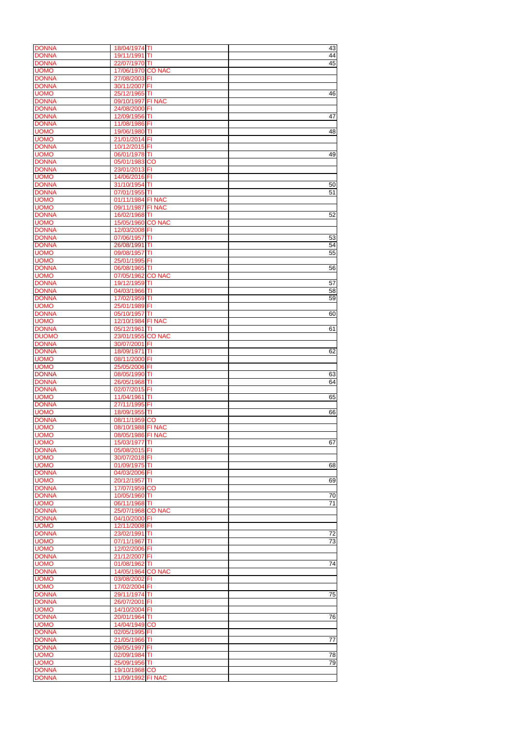| <b>DONNA</b><br><b>DONNA</b> |                                    |    |                 |
|------------------------------|------------------------------------|----|-----------------|
|                              | 18/04/1974 TI                      |    | 43              |
|                              | 19/11/1991 TI                      |    | 44              |
| <b>DONNA</b>                 | 22/07/1970 TI                      |    | 45              |
|                              |                                    |    |                 |
| <b>UOMO</b>                  | 17/06/1970 CO NAC                  |    |                 |
| <b>DONNA</b>                 | 27/08/2003 FI                      |    |                 |
| <b>DONNA</b>                 | 30/11/2007 FI                      |    |                 |
| <b>UOMO</b>                  | 25/12/1965 TI                      |    | 46              |
|                              |                                    |    |                 |
| <b>DONNA</b>                 | 09/10/1997 FI NAC                  |    |                 |
| <b>DONNA</b>                 | 24/08/2000 FI                      |    |                 |
| <b>DONNA</b>                 | 12/09/1956 TI                      |    | 47              |
| <b>DONNA</b>                 | 11/08/1986 FI                      |    |                 |
|                              |                                    |    |                 |
| <b>UOMO</b>                  | 19/06/1980 TI                      |    | 48              |
| <b>UOMO</b>                  | 21/01/2014 FI                      |    |                 |
| <b>DONNA</b>                 | 10/12/2015 FI                      |    |                 |
|                              |                                    |    |                 |
| <b>UOMO</b>                  | 06/01/1978 TI                      |    | 49              |
| <b>DONNA</b>                 | 05/01/1983 CO                      |    |                 |
| <b>DONNA</b>                 | 23/01/2013 FI                      |    |                 |
| <b>UOMO</b>                  | 14/06/2016 FI                      |    |                 |
|                              |                                    |    |                 |
| <b>DONNA</b>                 | 31/10/1954 TI                      |    | 50              |
| <b>DONNA</b>                 | 07/01/1955 TI                      |    | 51              |
| <b>UOMO</b>                  | 01/11/1984 FI NAC                  |    |                 |
|                              |                                    |    |                 |
| <b>UOMO</b>                  | 09/11/1987 FI NAC                  |    |                 |
| <b>DONNA</b>                 | 16/02/1968 TI                      |    | 52              |
| <b>UOMO</b>                  | 15/05/1960 CO NAC                  |    |                 |
| <b>DONNA</b>                 | 12/03/2008 FI                      |    |                 |
|                              |                                    |    |                 |
| <b>DONNA</b>                 | 07/06/1957 TI                      |    | 53              |
| <b>DONNA</b>                 | 26/08/1991 TI                      |    | 54              |
| <b>UOMO</b>                  | 09/08/1957 TI                      |    | 55              |
| <b>UOMO</b>                  | 25/01/1995 FI                      |    |                 |
|                              |                                    |    |                 |
| <b>DONNA</b>                 | 06/08/1965 TI                      |    | $\overline{56}$ |
| <b>UOMO</b>                  | 07/05/1962 CO NAC                  |    |                 |
| <b>DONNA</b>                 | 19/12/1959 TI                      |    | 57              |
| <b>DONNA</b>                 | 04/03/1966 TI                      |    | $\overline{58}$ |
|                              |                                    |    |                 |
| <b>DONNA</b>                 | 17/02/1959 TI                      |    | 59              |
| <b>UOMO</b>                  | 25/01/1989 FI                      |    |                 |
| <b>DONNA</b>                 | 05/10/1957 TI                      |    | 60              |
|                              |                                    |    |                 |
| <b>UOMO</b>                  | 12/10/1984 FI NAC                  |    |                 |
| <b>DONNA</b>                 | 05/12/1961 TI                      |    | 61              |
| <b>DUOMO</b>                 | 23/01/1955 CO NAC                  |    |                 |
| <b>DONNA</b>                 |                                    |    |                 |
|                              | 30/07/2001 FI                      |    |                 |
| <b>DONNA</b>                 | 18/09/1971 TI                      |    | 62              |
| <b>UOMO</b>                  | 08/11/2000 FI                      |    |                 |
| <b>UOMO</b>                  | 25/05/2006 FI                      |    |                 |
|                              |                                    |    |                 |
| <b>DONNA</b>                 | 08/05/1990 TI                      |    | 63              |
| <b>DONNA</b>                 | 26/05/1968 TI                      |    | 64              |
| <b>DONNA</b>                 | 02/07/2015 FI                      |    |                 |
| <b>UOMO</b>                  | 11/04/1961 TI                      |    | 65              |
|                              |                                    |    |                 |
| <b>DONNA</b>                 | 27/11/1995 FI                      |    |                 |
| <b>UOMO</b>                  | 18/09/1955 TI                      |    | 66              |
| <b>DONNA</b>                 | 08/11/1959 CO                      |    |                 |
|                              | 08/10/1988 FI NAC                  |    |                 |
|                              |                                    |    |                 |
| <b>UOMO</b>                  |                                    |    |                 |
| <b>UOMO</b>                  | 08/05/1986 FI NAC                  |    |                 |
|                              |                                    |    |                 |
| <b>UOMO</b>                  | 15/03/1977 TI                      |    | 67              |
| <b>DONNA</b>                 | 05/08/2015 FI                      |    |                 |
| <b>UOMO</b>                  | 30/07/2018 FI                      |    |                 |
| <b>UOMO</b>                  | 01/09/1975 TI                      |    | 68              |
| <b>DONNA</b>                 | 04/03/2006 FI                      |    |                 |
|                              |                                    |    |                 |
| <b>UOMO</b>                  | 20/12/1957 TI                      |    | 69              |
| <b>DONNA</b>                 | 17/07/1959 CO                      |    |                 |
| <b>DONNA</b>                 | 10/05/1960 TI                      |    | 70              |
| <b>UOMO</b>                  | 06/11/1968 TI                      |    | $\overline{71}$ |
|                              |                                    |    |                 |
| <b>DONNA</b>                 | 25/07/1968 CO NAC                  |    |                 |
| <b>DONNA</b>                 | 04/10/2000 FI                      |    |                 |
| <b>UOMO</b>                  | 12/11/2008 FI                      |    |                 |
| <b>DONNA</b>                 |                                    |    |                 |
|                              | 23/02/1991 TI                      |    | 72              |
| <b>UOMO</b>                  | 07/11/1967                         | TI | $\overline{73}$ |
| <b>UOMO</b>                  | 12/02/2006 FI                      |    |                 |
| <b>DONNA</b>                 | 21/12/2007 FI                      |    |                 |
|                              |                                    |    |                 |
| <b>UOMO</b>                  | 01/08/1962 TI                      |    | 74              |
| <b>DONNA</b>                 | 14/05/1964 CO NAC                  |    |                 |
| <b>UOMO</b>                  | 03/08/2002 FI                      |    |                 |
| <b>UOMO</b>                  | 17/02/2004 FI                      |    |                 |
|                              |                                    |    |                 |
| <b>DONNA</b>                 | 29/11/1974 TI                      |    | 75              |
| <b>DONNA</b>                 | 26/07/2001 FI                      |    |                 |
| <b>UOMO</b>                  | 14/10/2004 FI                      |    |                 |
| <b>DONNA</b>                 | 20/01/1964 TI                      |    | 76              |
|                              |                                    |    |                 |
| <b>UOMO</b>                  | 14/04/1949 CO                      |    |                 |
| <b>DONNA</b>                 | 02/05/1995 FI                      |    |                 |
| <b>DONNA</b>                 | 21/05/1966 TI                      |    | 77              |
| <b>DONNA</b>                 | 09/05/1997 FI                      |    |                 |
|                              |                                    |    |                 |
| <b>UOMO</b>                  | 02/09/1984 TI                      |    | 78              |
| <b>UOMO</b>                  | 25/09/1956 TI                      |    | 79              |
| <b>DONNA</b><br><b>DONNA</b> | 19/10/1968 CO<br>11/09/1992 FI NAC |    |                 |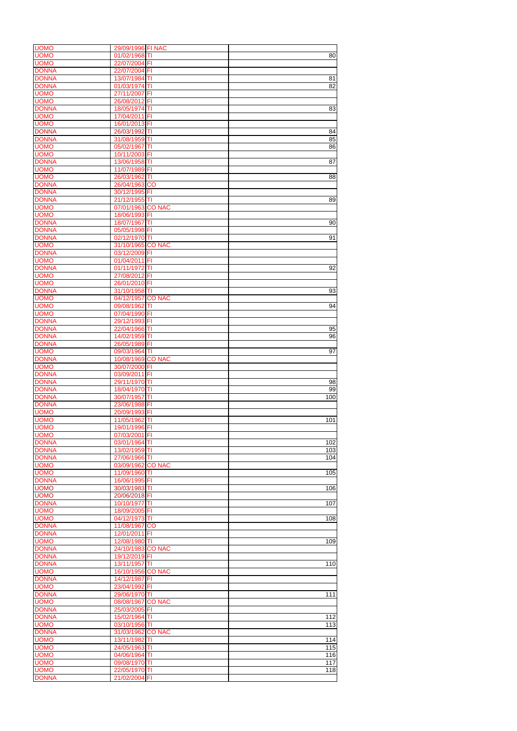| <b>UOMO</b>                 | 29/09/1996 FI NAC              |     |
|-----------------------------|--------------------------------|-----|
| <b>UOMO</b>                 | 01/02/1968 TI                  | 80  |
| <b>UOMO</b>                 | 22/07/2004 FI                  |     |
| <b>DONNA</b>                | 22/07/2004 FI                  |     |
| <b>DONNA</b>                | 13/07/1984 TI                  | 81  |
| <b>DONNA</b>                | 01/03/1974 TI                  | 82  |
|                             |                                |     |
| <b>UOMO</b>                 | 27/11/2007 FI                  |     |
| <b>UOMO</b>                 | 26/08/2012 FI                  |     |
| <b>DONNA</b>                | 18/05/1974 TI                  | 83  |
| <b>UOMO</b>                 | 17/04/2011 FI                  |     |
| <b>UOMO</b>                 | 16/01/2013 FI                  |     |
|                             |                                |     |
| <b>DONNA</b>                | 26/03/1992 TI                  | 84  |
| <b>DONNA</b>                | 31/08/1959 TI                  | 85  |
| <b>UOMO</b>                 | 05/02/1967 TI                  | 86  |
| <b>UOMO</b>                 | 10/11/2003 FI                  |     |
| <b>DONNA</b>                | 13/06/1958 TI                  | 87  |
|                             |                                |     |
| <b>UOMO</b>                 | 11/07/1989 FI                  |     |
| <b>UOMO</b>                 | 26/03/1962 TI                  | 88  |
| <b>DONNA</b>                | 26/04/1963 CO                  |     |
| <b>DONNA</b>                | 30/12/1995 FI                  |     |
|                             |                                |     |
| <b>DONNA</b>                | 21/12/1955 TI                  | 89  |
| <b>UOMO</b>                 | 07/01/1963 CO NAC              |     |
| <b>UOMO</b>                 | 18/06/1993 FI                  |     |
| <b>DONNA</b>                | 18/07/1967 TI                  | 90  |
|                             |                                |     |
| <b>DONNA</b>                | 05/05/1998 FI                  |     |
| <b>DONNA</b>                | 02/12/1970 TI                  | 91  |
| <b>UOMO</b>                 | 31/10/1965 CO NAC              |     |
| <b>DONNA</b>                | 03/12/2009 FI                  |     |
|                             |                                |     |
| <b>UOMO</b>                 | 01/04/2011 FI                  |     |
| <b>DONNA</b>                | 01/11/1972 TI                  | 92  |
| <b>UOMO</b>                 | 27/08/2012 FI                  |     |
| <b>UOMO</b>                 | 26/01/2010 FI                  |     |
|                             |                                |     |
| <b>DONNA</b>                | 31/10/1958 TI                  | 93  |
| <b>UOMO</b>                 | 04/12/1957 CO NAC              |     |
| <b>UOMO</b>                 | 09/08/1962 TI                  | 94  |
| <b>UOMO</b>                 | 07/04/1990 FI                  |     |
|                             |                                |     |
| <b>DONNA</b>                | 29/12/1993 FI                  |     |
| <b>DONNA</b>                | 22/04/1966 TI                  | 95  |
| <b>DONNA</b>                | 14/02/1959 TI                  | 96  |
| <b>DONNA</b>                | 26/05/1989 FI                  |     |
|                             |                                |     |
| <b>UOMO</b>                 | 09/03/1964 TI                  | 97  |
| <b>DONNA</b>                | 10/08/1969 CO NAC              |     |
|                             | 30/07/2000 FI                  |     |
|                             |                                |     |
| <b>UOMO</b>                 |                                |     |
| <b>DONNA</b>                | 03/09/2011 FI                  |     |
| <b>DONNA</b>                | 29/11/1970 TI                  | 98  |
| <b>DONNA</b>                | 18/04/1970 TI                  | 99  |
|                             |                                |     |
| <b>DONNA</b>                | 30/07/1957 TI                  | 100 |
| <b>DONNA</b>                | 23/06/1988 FI                  |     |
| <b>UOMO</b>                 | 20/09/1993 FI                  |     |
| <b>UOMO</b>                 | 11/05/1962 TI                  | 101 |
|                             |                                |     |
| <b>UOMO</b>                 | 19/01/1996 FI                  |     |
| <b>UOMO</b>                 | 07/03/2001 FI                  |     |
| <b>DONNA</b>                | 03/01/1964 TI                  | 102 |
| <b>DONNA</b>                | 13/02/1959 TI                  | 103 |
| <b>DONNA</b>                | 27/06/1966 TI                  | 104 |
|                             |                                |     |
| <b>UOMO</b>                 | 03/09/1962 CO NAC              |     |
| <b>UOMO</b>                 | 11/09/1960 TI                  | 105 |
| <b>DONNA</b>                | 16/06/1995 FI                  |     |
| <b>UOMO</b>                 | 30/03/1983 TI                  | 106 |
| <b>UOMO</b>                 |                                |     |
|                             | 20/06/2018 FI                  |     |
| <b>DONNA</b>                | 10/10/1977 TI                  | 107 |
| <b>UOMO</b>                 | 18/09/2005 FI                  |     |
| <b>UOMO</b>                 | 04/12/1973 TI                  | 108 |
| <b>DONNA</b>                | 11/08/1967 CO                  |     |
|                             |                                |     |
| <b>DONNA</b>                | 12/01/2011 FI                  |     |
| <b>UOMO</b>                 | 12/08/1980 TI                  | 109 |
| <b>DONNA</b>                | 24/10/1983 CO NAC              |     |
| <b>DONNA</b>                | 19/12/2019 FI                  |     |
| <b>DONNA</b>                | 13/11/1957 TI                  | 110 |
|                             |                                |     |
| <b>UOMO</b>                 | 16/10/1956 CO NAC              |     |
| <b>DONNA</b>                | 14/12/1987 FI                  |     |
| <b>UOMO</b>                 | 23/04/1992 FI                  |     |
| <b>DONNA</b>                | 29/06/1970 TI                  | 111 |
|                             |                                |     |
| <b>UOMO</b>                 | 08/08/1967 CO NAC              |     |
| <b>DONNA</b>                | 25/03/2005 FI                  |     |
| <b>DONNA</b>                | 15/02/1964 TI                  | 112 |
| <b>UOMO</b>                 | 03/10/1956 TI                  | 113 |
|                             |                                |     |
| <b>DONNA</b>                | 31/03/1962 CO NAC              |     |
| <b>UOMO</b>                 | 13/11/1982 TI                  | 114 |
| <b>UOMO</b>                 | 24/05/1963 TI                  | 115 |
| <b>UOMO</b>                 | 04/06/1964 TI                  | 116 |
|                             |                                |     |
| <b>UOMO</b>                 | 09/08/1970 TI                  | 117 |
| <b>UOMO</b><br><b>DONNA</b> | 22/05/1970 TI<br>21/02/2004 FI | 118 |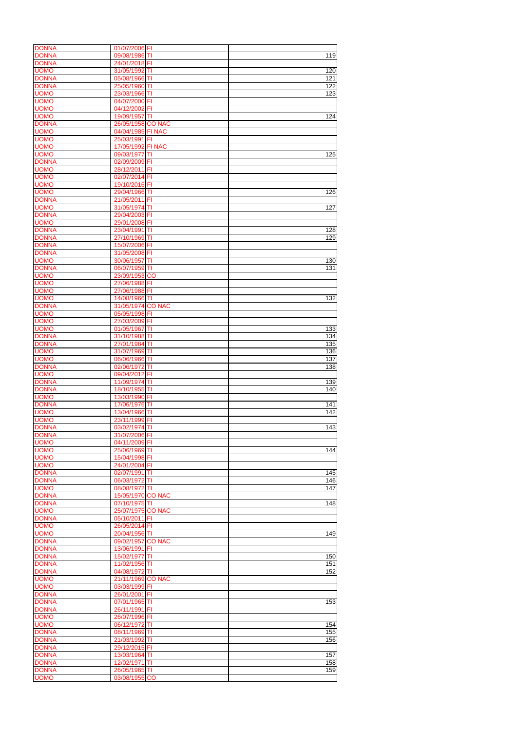| <b>DONNA</b>                                 | 01/07/2006 FI                  |               |                  |
|----------------------------------------------|--------------------------------|---------------|------------------|
| <b>DONNA</b>                                 | 09/08/1986 TI                  |               | 119              |
| <b>DONNA</b>                                 | 24/01/2018 FI                  |               |                  |
|                                              |                                |               |                  |
| <b>UOMO</b>                                  | 31/05/1992 TI                  |               | 120              |
| <b>DONNA</b>                                 | 05/08/1966 TI                  |               | 121              |
| <b>DONNA</b>                                 | 25/05/1960 TI                  |               | 122              |
|                                              |                                |               |                  |
| <b>UOMO</b>                                  | 23/03/1966 TI                  |               | 123              |
| <b>UOMO</b>                                  | 04/07/2000 FI                  |               |                  |
| <b>UOMO</b>                                  | 04/12/2002 FI                  |               |                  |
|                                              |                                |               |                  |
| <b>UOMO</b>                                  | 19/09/1957 TI                  |               | 124              |
| <b>DONNA</b>                                 | 26/05/1958 CO NAC              |               |                  |
| <b>UOMO</b>                                  | 04/04/1985 FI NAC              |               |                  |
|                                              |                                |               |                  |
| <b>UOMO</b>                                  | 25/03/1991 FI                  |               |                  |
| <b>UOMO</b>                                  | 17/05/1992 FI NAC              |               |                  |
| <b>UOMO</b>                                  | 09/03/1977 TI                  |               | 125              |
|                                              |                                |               |                  |
| <b>DONNA</b>                                 | 02/09/2009 FI                  |               |                  |
| <b>UOMO</b>                                  | 28/12/2011 FI                  |               |                  |
|                                              |                                |               |                  |
| <b>UOMO</b>                                  | 02/07/2014 FI                  |               |                  |
| <b>UOMO</b>                                  | 19/10/2016 FI                  |               |                  |
| <b>UOMO</b>                                  | 29/04/1966 TI                  |               | 126              |
|                                              |                                |               |                  |
| <b>DONNA</b>                                 | 21/05/2011                     | FI            |                  |
| <b>UOMO</b>                                  | 31/05/1974 TI                  |               | 127              |
| <b>DONNA</b>                                 | 29/04/2003 FI                  |               |                  |
|                                              |                                |               |                  |
| <b>UOMO</b>                                  | 29/01/2008 FI                  |               |                  |
| <b>DONNA</b>                                 | 23/04/1991 TI                  |               | 128              |
| <b>DONNA</b>                                 | 27/10/1969 TI                  |               | 129              |
|                                              |                                |               |                  |
| <b>DONNA</b>                                 | 15/07/2006 FI                  |               |                  |
| <b>DONNA</b>                                 | 31/05/2008 FI                  |               |                  |
| <b>UOMO</b>                                  | 30/06/1957                     | TI            | 130              |
|                                              |                                |               |                  |
| <b>DONNA</b>                                 | 06/07/1959 TI                  |               | 131              |
| <b>UOMO</b>                                  | 23/09/1953 CO                  |               |                  |
| <b>UOMO</b>                                  | 27/06/1988 FI                  |               |                  |
|                                              |                                |               |                  |
| <b>UOMO</b>                                  | 27/06/1988 FI                  |               |                  |
| <b>UOMO</b>                                  | 14/08/1966 TI                  |               | 132              |
| <b>DONNA</b>                                 | 31/05/1974 CO NAC              |               |                  |
|                                              |                                |               |                  |
| <b>UOMO</b>                                  | 05/05/1998 FI                  |               |                  |
| <b>UOMO</b>                                  | 27/03/2009 FI                  |               |                  |
| <b>UOMO</b>                                  | 01/05/1967                     |               |                  |
|                                              |                                | ΙTΙ           | 133              |
| <b>DONNA</b>                                 | 31/10/1988 TI                  |               | 134              |
| <b>DONNA</b>                                 | 27/01/1984 TI                  |               | 135              |
|                                              |                                |               |                  |
| <b>UOMO</b>                                  | 31/07/1969 TI                  |               | 136              |
| <b>UOMO</b>                                  | 06/06/1966 TI                  |               | 137              |
| <b>DONNA</b>                                 | 02/06/1972 TI                  |               | 138              |
|                                              |                                |               |                  |
| <b>UOMO</b>                                  | 09/04/2012 FI                  |               |                  |
| <b>DONNA</b>                                 | 11/09/1974 TI                  |               | 139              |
| <b>DONNA</b>                                 | 18/10/1955 TI                  |               | 140              |
|                                              |                                |               |                  |
| <b>UOMO</b>                                  | 13/03/1990 FI                  |               |                  |
| <b>DONNA</b>                                 | 17/06/1976 TI                  |               | 141              |
| <b>UOMO</b>                                  | 13/04/1966 TI                  |               | 142              |
|                                              |                                |               |                  |
| <b>UOMO</b>                                  | 23/11/1999 FI                  |               |                  |
| <b>DONNA</b>                                 | 03/02/1974 TI                  |               | 143              |
| <b>DONNA</b>                                 | 31/07/2006 FI                  |               |                  |
|                                              |                                |               |                  |
| <b>UOMO</b>                                  | 04/11/2009 FI                  |               |                  |
| <b>UOMO</b>                                  | 25/06/1969 TI                  |               | 144              |
| <b>UOMO</b>                                  | 15/04/1998 FI                  |               |                  |
|                                              |                                |               |                  |
| <b>UOMO</b>                                  | 24/01/2004 FI                  |               |                  |
| <b>DONNA</b>                                 | 02/07/1991 TI                  |               | $\overline{145}$ |
| <b>DONNA</b>                                 | 06/03/1972                     | ΙTΙ           | 146              |
| <b>UOMO</b>                                  | 08/08/1972 TI                  |               | 147              |
|                                              |                                |               |                  |
| <b>DONNA</b>                                 | 15/05/1970 CO NAC              |               |                  |
| <b>DONNA</b>                                 | 07/10/1975 TI                  |               | 148              |
| <b>UOMO</b>                                  | 25/07/1975 CO NAC              |               |                  |
|                                              |                                |               |                  |
| <b>DONNA</b>                                 | 05/10/2011 FI                  |               |                  |
| <b>UOMO</b>                                  | 26/05/2014 FI                  |               |                  |
| <b>UOMO</b>                                  | 20/04/1956 TI                  |               | 149              |
|                                              |                                |               |                  |
| <b>DONNA</b>                                 | 09/02/1957                     | <b>CO NAC</b> |                  |
| <b>DONNA</b>                                 | 13/06/1991                     | FI            |                  |
| <b>DONNA</b>                                 | 15/02/1977                     | TI            | 150              |
|                                              |                                |               |                  |
| <b>DONNA</b>                                 | 11/02/1956 TI                  |               | 151              |
| <b>DONNA</b>                                 | 04/08/1972 TI                  |               | 152              |
| <b>UOMO</b>                                  | 21/11/1969 CO NAC              |               |                  |
|                                              |                                |               |                  |
| <b>UOMO</b>                                  | 03/03/1999 FI                  |               |                  |
| <b>DONNA</b>                                 | 26/01/2001 FI                  |               |                  |
| <b>DONNA</b>                                 | 07/01/1965 TI                  |               | 153              |
|                                              |                                |               |                  |
| <b>DONNA</b>                                 | 26/11/1991 FI                  |               |                  |
| <b>UOMO</b>                                  | 26/07/1996 FI                  |               |                  |
|                                              |                                |               | 154              |
|                                              |                                |               |                  |
|                                              | 06/12/1972 TI                  |               |                  |
| <b>UOMO</b><br><b>DONNA</b>                  | 08/11/1969 TI                  |               |                  |
|                                              |                                |               |                  |
| <b>DONNA</b>                                 | 21/03/1992 TI                  |               | 155<br>156       |
|                                              | 29/12/2015 FI                  |               |                  |
|                                              | 13/03/1964 TI                  |               | 157              |
|                                              |                                |               |                  |
| <b>DONNA</b><br><b>DONNA</b><br><b>DONNA</b> | 12/02/1971 TI                  |               | 158              |
| <b>DONNA</b><br><b>UOMO</b>                  | 26/05/1965 TI<br>03/08/1955 CO |               | 159              |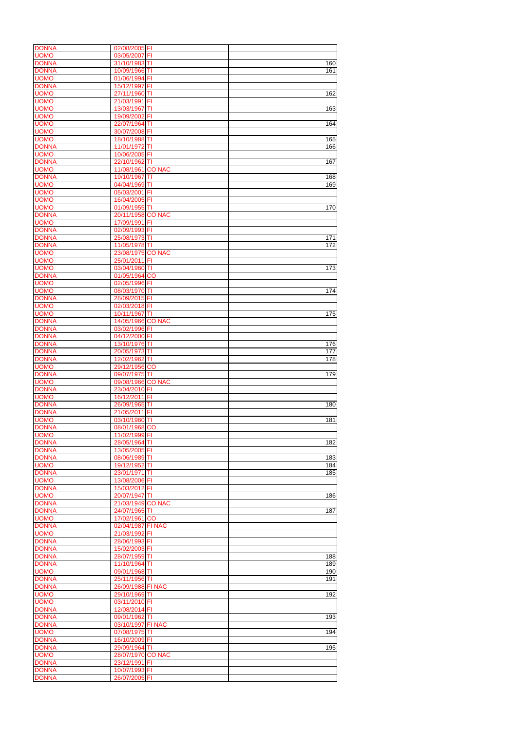| <b>DONNA</b> | 02/08/2005 FI     |               |                  |
|--------------|-------------------|---------------|------------------|
| <b>UOMO</b>  | 03/05/2007        | FI            |                  |
| <b>DONNA</b> | 31/10/1983 TI     |               | 160              |
| <b>DONNA</b> | 10/09/1966 TI     |               | 161              |
|              |                   |               |                  |
| <b>UOMO</b>  | 01/06/1994        | FI            |                  |
| <b>DONNA</b> | 15/12/1997        | FI            |                  |
| <b>UOMO</b>  | 27/11/1960        | TI            | 162              |
|              |                   |               |                  |
| <b>UOMO</b>  | 21/03/1991        | F1            |                  |
| <b>UOMO</b>  | 13/03/1967        | TI            | 163              |
| <b>UOMO</b>  | 19/09/2002        | F             |                  |
| <b>UOMO</b>  | 22/07/1964 TI     |               | 164              |
|              |                   |               |                  |
| <b>UOMO</b>  | 30/07/2008 FI     |               |                  |
| <b>UOMO</b>  | 18/10/1988 TI     |               | 165              |
| <b>DONNA</b> | 11/01/1972        | lΤI           | 166              |
|              |                   |               |                  |
| <b>UOMO</b>  | 10/06/2005 FI     |               |                  |
| <b>DONNA</b> | 22/10/1962        | Π             | 167              |
| <b>UOMO</b>  | 11/08/1961        | <b>CO NAC</b> |                  |
| <b>DONNA</b> | 19/10/1967        | TI            | 168              |
|              |                   |               |                  |
| <b>UOMO</b>  | 04/04/1969        | ΙTΙ           | 169              |
| <b>UOMO</b>  | 05/03/2001        | FI            |                  |
| <b>UOMO</b>  | 16/04/2005 FI     |               |                  |
|              |                   |               |                  |
| <b>UOMO</b>  | 01/09/1955 TI     |               | 170              |
| <b>DONNA</b> | 20/11/1958 CO NAC |               |                  |
| <b>UOMO</b>  | 17/09/1991        | I FI          |                  |
| <b>DONNA</b> | 02/09/1993 FI     |               |                  |
|              |                   |               |                  |
| <b>DONNA</b> | 25/08/1973 TI     |               | 171              |
| <b>DONNA</b> | 11/05/1978 TI     |               | 172              |
| <b>UOMO</b>  | 23/08/1975 CO NAC |               |                  |
|              |                   |               |                  |
| <b>UOMO</b>  | 25/01/2011        | F             |                  |
| <b>UOMO</b>  | 03/04/1960 TI     |               | 173              |
| <b>DONNA</b> | 01/05/1964 CO     |               |                  |
| <b>UOMO</b>  | 02/05/1996 FI     |               |                  |
|              |                   |               |                  |
| <b>UOMO</b>  | 08/03/1970        | TI            | 174              |
| <b>DONNA</b> | 28/09/2015 FI     |               |                  |
| <b>UOMO</b>  | 02/03/2018 FI     |               |                  |
|              |                   |               |                  |
| <b>UOMO</b>  | 10/11/1967 TI     |               | 175              |
| <b>DONNA</b> | 14/05/1966 CO NAC |               |                  |
| <b>DONNA</b> | 03/02/1996 FI     |               |                  |
|              |                   |               |                  |
| <b>DONNA</b> | 04/12/2000 FI     |               |                  |
| <b>DONNA</b> | 13/10/1976 TI     |               | 176              |
| <b>DONNA</b> | 20/05/1973 TI     |               | $\overline{177}$ |
|              |                   |               |                  |
| <b>DONNA</b> | 12/02/1962 TI     |               | 178              |
| <b>UOMO</b>  | 29/12/1956 CO     |               |                  |
| <b>DONNA</b> | 09/07/1975 TI     |               | 179              |
|              |                   |               |                  |
| <b>UOMO</b>  | 09/08/1966 CO NAC |               |                  |
| <b>DONNA</b> | 23/04/2010 FI     |               |                  |
| <b>UOMO</b>  | 16/12/2011 FI     |               |                  |
| <b>DONNA</b> | 26/09/1965 TI     |               |                  |
|              |                   |               | 180              |
| <b>DONNA</b> | 21/05/2011        | FI            |                  |
| <b>UOMO</b>  | 03/10/1960 TI     |               | 181              |
| <b>DONNA</b> | 08/01/1968 CO     |               |                  |
|              |                   |               |                  |
| <b>UOMO</b>  | 11/02/1999 FI     |               |                  |
| <b>DONNA</b> | 28/05/1964 TI     |               | 182              |
| <b>DONNA</b> | 13/05/2005 FI     |               |                  |
| <b>DONNA</b> |                   |               |                  |
|              | 08/06/1989        | IΤΙ           | 183              |
| <b>UOMO</b>  | 19/12/1952        | ΙTΙ           | 184              |
| <b>DONNA</b> | 23/01/1971        | ΙTΙ           | 185              |
| <b>UOMO</b>  | 13/08/2006 FI     |               |                  |
|              |                   |               |                  |
| <b>DONNA</b> | 15/03/2012        | ΙFΙ           |                  |
| <b>UOMO</b>  | 20/07/1947 TI     |               | 186              |
| <b>DONNA</b> | 21/03/1949 CO NAC |               |                  |
| <b>DONNA</b> | 24/07/1965 TI     |               | 187              |
|              |                   |               |                  |
| <b>UOMO</b>  | 17/02/1961 CO     |               |                  |
| <b>DONNA</b> | 02/04/1987 FI NAC |               |                  |
| <b>UOMO</b>  | 21/03/1992 FI     |               |                  |
| <b>DONNA</b> | 28/06/1993 FI     |               |                  |
|              |                   |               |                  |
| <b>DONNA</b> | 15/02/2003 FI     |               |                  |
| <b>DONNA</b> | 28/07/1959 TI     |               | 188              |
| <b>DONNA</b> | 11/10/1964        | ΙTΙ           | 189              |
|              |                   |               |                  |
| <b>UOMO</b>  | 09/01/1968 TI     |               | 190              |
| <b>DONNA</b> | 25/11/1956 TI     |               | 191              |
| <b>DONNA</b> | 26/09/1988 FI NAC |               |                  |
| <b>IUOMO</b> |                   |               | 192              |
|              | 29/10/1969 TI     |               |                  |
| <b>UOMO</b>  | 03/11/2010 FI     |               |                  |
| <b>DONNA</b> | 12/08/2014 FI     |               |                  |
| <b>DONNA</b> | 09/01/1962 TI     |               | 193              |
| <b>DONNA</b> |                   |               |                  |
|              | 03/10/1997 FI NAC |               |                  |
| <b>UOMO</b>  | 07/08/1975 TI     |               | 194              |
| <b>DONNA</b> | 16/10/2009 FI     |               |                  |
| <b>DONNA</b> | 29/09/1964 TI     |               | 195              |
|              |                   |               |                  |
| <b>UOMO</b>  | 28/07/1970 CO NAC |               |                  |
| <b>DONNA</b> | 23/12/1991 FI     |               |                  |
| <b>DONNA</b> | 10/07/1993 FI     |               |                  |
|              |                   |               |                  |
| <b>DONNA</b> | 26/07/2005 FI     |               |                  |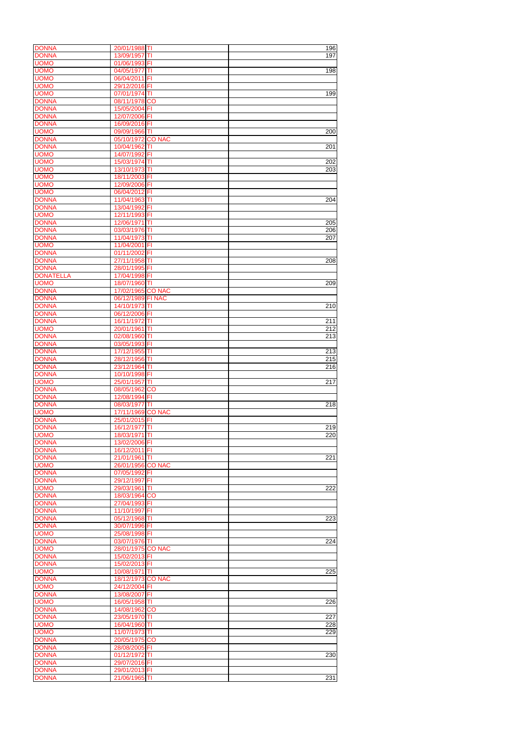| <b>DONNA</b>                 | 20/01/1988 TI                  |               | 196 |
|------------------------------|--------------------------------|---------------|-----|
| <b>DONNA</b>                 | 13/09/1957                     | TI            | 197 |
| <b>UOMO</b>                  | 01/06/1993 FI                  |               |     |
|                              |                                |               |     |
| <b>UOMO</b>                  | 04/05/1977                     | TI            | 198 |
| <b>UOMO</b>                  | 06/04/2011 FI                  |               |     |
| <b>UOMO</b>                  | 29/12/2016 FI                  |               |     |
| <b>UOMO</b>                  | 07/01/1974 TI                  |               |     |
|                              |                                |               | 199 |
| <b>DONNA</b>                 | 08/11/1978 CO                  |               |     |
| <b>DONNA</b>                 | 15/05/2004 FI                  |               |     |
| <b>DONNA</b>                 |                                |               |     |
|                              | 12/07/2006 FI                  |               |     |
| <b>DONNA</b>                 | 16/09/2016 FI                  |               |     |
| <b>UOMO</b>                  | 09/09/1966 TI                  |               | 200 |
|                              |                                |               |     |
| <b>DONNA</b>                 | 05/10/1972 CO NAC              |               |     |
| <b>DONNA</b>                 | 10/04/1962 TI                  |               | 201 |
| <b>UOMO</b>                  | 14/07/1992 FI                  |               |     |
| <b>UOMO</b>                  | 15/03/1974 TI                  |               | 202 |
|                              |                                |               |     |
| <b>UOMO</b>                  | 13/10/1973 TI                  |               | 203 |
| <b>UOMO</b>                  | 18/11/2003 FI                  |               |     |
| <b>UOMO</b>                  | 12/09/2006 FI                  |               |     |
|                              |                                |               |     |
| <b>UOMO</b>                  | 06/04/2012 FI                  |               |     |
| <b>DONNA</b>                 | 11/04/1963 TI                  |               | 204 |
| <b>DONNA</b>                 |                                |               |     |
|                              | 13/04/1992                     | FI            |     |
| <b>UOMO</b>                  | 12/11/1993 FI                  |               |     |
| <b>DONNA</b>                 | 12/06/1971                     | TI            | 205 |
|                              |                                |               |     |
| <b>DONNA</b>                 | 03/03/1976 TI                  |               | 206 |
| <b>DONNA</b>                 | 11/04/1973 TI                  |               | 207 |
| <b>UOMO</b>                  | 11/04/2001                     | FI            |     |
|                              |                                |               |     |
| <b>DONNA</b>                 | 01/11/2002                     | FI            |     |
| <b>DONNA</b>                 | 27/11/1958 TI                  |               | 208 |
| <b>DONNA</b>                 | 28/01/1995 FI                  |               |     |
|                              |                                |               |     |
| <b>DONATELLA</b>             | 17/04/1998                     | FI            |     |
| <b>UOMO</b>                  | 18/07/1960                     | IΤI           | 209 |
| <b>DONNA</b>                 | 17/02/1965                     | <b>CO NAC</b> |     |
|                              |                                |               |     |
| <b>DONNA</b>                 | 06/12/1989 FI NAC              |               |     |
| <b>DONNA</b>                 | 14/10/1973 TI                  |               | 210 |
| <b>DONNA</b>                 | 06/12/2006 FI                  |               |     |
|                              |                                |               |     |
| <b>DONNA</b>                 | 16/11/1972 TI                  |               | 211 |
| <b>UOMO</b>                  | 20/01/1961                     | IΤΙ           | 212 |
| <b>DONNA</b>                 | 02/08/1960 TI                  |               | 213 |
|                              |                                |               |     |
| <b>DONNA</b>                 | 03/05/1993 FI                  |               |     |
| <b>DONNA</b>                 | 17/12/1955 TI                  |               | 213 |
| <b>DONNA</b>                 | 28/12/1956 TI                  |               | 215 |
|                              |                                |               |     |
| <b>DONNA</b>                 | 23/12/1964 TI                  |               | 216 |
| <b>DONNA</b>                 | 10/10/1998 FI                  |               |     |
| <b>UOMO</b>                  | 25/01/1957 TI                  |               | 217 |
|                              |                                |               |     |
| <b>DONNA</b>                 | 08/05/1962                     | <b>CO</b>     |     |
| <b>DONNA</b>                 | 12/08/1994 FI                  |               |     |
| <b>DONNA</b>                 | 08/03/1977 TI                  |               | 218 |
|                              |                                |               |     |
| <b>UOMO</b>                  | 17/11/1969 CO NAC              |               |     |
| <b>DONNA</b>                 | 25/01/2015 FI                  |               |     |
| <b>DONNA</b>                 | 16/12/1977 TI                  |               | 219 |
|                              |                                |               |     |
| <b>UOMO</b>                  |                                |               |     |
| <b>DONNA</b>                 | 18/03/1971 TI                  |               | 220 |
|                              |                                |               |     |
|                              | 13/02/2006 FI                  |               |     |
| <b>DONNA</b>                 | 16/12/2011 FI                  |               |     |
| <b>DONNA</b>                 | 21/01/1961 TI                  |               | 221 |
|                              |                                |               |     |
| <b>UOMO</b>                  | 26/01/1956 CO NAC              |               |     |
| <b>DONNA</b>                 | 07/05/1992 FI                  |               |     |
| <b>DONNA</b>                 | 29/12/1997 FI                  |               |     |
| <b>UOMO</b>                  |                                |               | 222 |
|                              | 29/03/1961 TI                  |               |     |
| <b>DONNA</b>                 | 18/03/1964 CO                  |               |     |
| <b>DONNA</b>                 | 27/04/1993 FI                  |               |     |
| <b>DONNA</b>                 | 11/10/1997 FI                  |               |     |
|                              |                                |               |     |
| <b>DONNA</b>                 | 05/12/1968 TI                  |               | 223 |
| <b>DONNA</b>                 | 30/07/1996 FI                  |               |     |
| <b>UOMO</b>                  |                                |               |     |
|                              | 25/08/1998 FI                  |               |     |
| <b>DONNA</b>                 | 03/07/1976 TI                  |               | 224 |
| <b>UOMO</b>                  | 28/01/1975 CO NAC              |               |     |
| <b>DONNA</b>                 | 15/02/2013 FI                  |               |     |
|                              |                                |               |     |
| <b>DONNA</b>                 | 15/02/2013 FI                  |               |     |
| <b>UOMO</b>                  | 10/08/1971 TI                  |               | 225 |
| <b>DONNA</b>                 | 18/12/1973 CO NAC              |               |     |
|                              |                                |               |     |
| <b>UOMO</b>                  | 24/12/2004 FI                  |               |     |
|                              | 13/08/2007 FI                  |               |     |
| <b>UOMO</b>                  |                                |               | 226 |
|                              | 16/05/1958 TI                  |               |     |
| <b>DONNA</b>                 | 14/08/1962 CO                  |               |     |
| <b>DONNA</b>                 | 23/05/1970 TI                  |               | 227 |
|                              |                                |               |     |
| <b>UOMO</b>                  | 16/04/1960 TI                  |               | 228 |
| <b>UOMO</b>                  | 11/07/1973 TI                  |               | 229 |
| <b>DONNA</b>                 | 20/05/1975 CO                  |               |     |
|                              |                                |               |     |
| <b>DONNA</b>                 | 28/08/2005 FI                  |               |     |
| <b>DONNA</b>                 | 01/12/1972 TI                  |               | 230 |
| <b>DONNA</b>                 | 29/07/2016 FI                  |               |     |
| <b>DONNA</b>                 |                                |               |     |
| <b>DONNA</b><br><b>DONNA</b> | 29/01/2013 FI<br>21/06/1965 TI |               | 231 |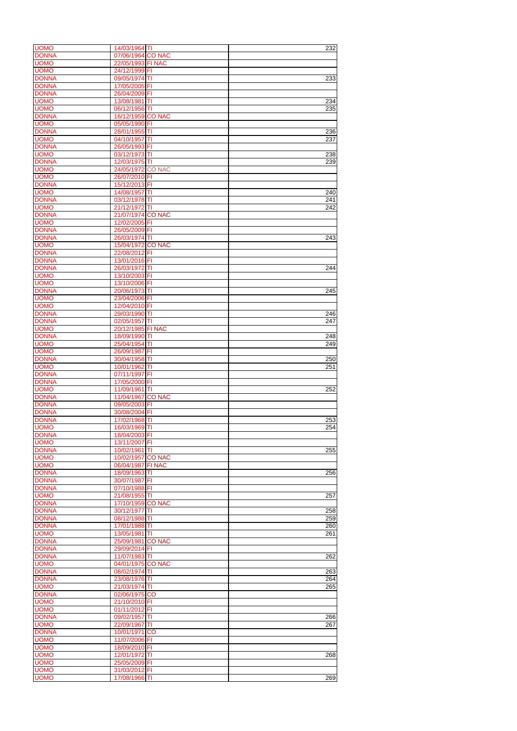| <b>UOMO</b>                 | 14/03/1964 TI           |                         | 232 |
|-----------------------------|-------------------------|-------------------------|-----|
|                             |                         |                         |     |
| <b>DONNA</b>                | 07/06/1964 CO NAC       |                         |     |
| <b>UOMO</b>                 | 22/05/1993 FI NAC       |                         |     |
| <b>UOMO</b>                 | 24/12/1999 FI           |                         |     |
|                             |                         |                         |     |
| <b>DONNA</b>                | 09/05/1974 TI           |                         | 233 |
| <b>DONNA</b>                | 17/05/2005 FI           |                         |     |
|                             |                         |                         |     |
| <b>DONNA</b>                | 26/04/2009 FI           |                         |     |
| <b>UOMO</b>                 | 13/08/1981              | ΙTΙ                     | 234 |
|                             |                         |                         |     |
| <b>UOMO</b>                 | 06/12/1956 TI           |                         | 235 |
| <b>DONNA</b>                | 16/12/1959 CO NAC       |                         |     |
|                             |                         |                         |     |
| <b>UOMO</b>                 | 05/05/1990 FI           |                         |     |
| <b>DONNA</b>                | 28/01/1955 TI           |                         | 236 |
|                             |                         |                         |     |
| <b>UOMO</b>                 | 04/10/1957              | IΤI                     | 237 |
| <b>DONNA</b>                | 26/05/1993 FI           |                         |     |
|                             |                         |                         |     |
| <b>UOMO</b>                 | 03/12/1973 TI           |                         | 238 |
| <b>DONNA</b>                | 12/03/1975 TI           |                         | 239 |
|                             |                         |                         |     |
| <b>UOMO</b>                 | 24/05/1972 CO NAC       |                         |     |
| <b>UOMO</b>                 | 26/07/2010 FI           |                         |     |
|                             |                         |                         |     |
| <b>DONNA</b>                | 15/12/2013 FI           |                         |     |
| <b>UOMO</b>                 | 14/08/1957              | TI                      | 240 |
|                             |                         |                         |     |
| <b>DONNA</b>                | 03/12/1978 TI           |                         | 241 |
| <b>UOMO</b>                 | 21/12/1972 TI           |                         | 242 |
|                             |                         |                         |     |
| <b>DONNA</b>                | 21/07/1974 CO NAC       |                         |     |
| <b>UOMO</b>                 | 12/02/2005 FI           |                         |     |
|                             |                         |                         |     |
| <b>DONNA</b>                | 26/05/2009 FI           |                         |     |
| <b>DONNA</b>                | 26/03/1974 TI           |                         | 243 |
|                             |                         |                         |     |
| <b>UOMO</b>                 | 15/04/1972              | <b>CO NAC</b>           |     |
| <b>DONNA</b>                | 22/08/2012              | FI                      |     |
|                             |                         |                         |     |
| <b>DONNA</b>                | 13/01/2016 FI           |                         |     |
| <b>DONNA</b>                | 26/03/1972              | T                       | 244 |
|                             |                         |                         |     |
| <b>UOMO</b>                 | 13/10/2003 FI           |                         |     |
| <b>UOMO</b>                 | 13/10/2006 FI           |                         |     |
|                             |                         |                         |     |
| <b>DONNA</b>                | 20/06/1973              | IΤI                     | 245 |
| <b>UOMO</b>                 | 23/04/2006 FI           |                         |     |
|                             |                         |                         |     |
| <b>UOMO</b>                 | 12/04/2010 FI           |                         |     |
| <b>DONNA</b>                | 29/03/1990 TI           |                         | 246 |
|                             |                         |                         |     |
| <b>DONNA</b>                | 02/05/1957 TI           |                         | 247 |
| <b>UOMO</b>                 | 20/12/1985 FI NAC       |                         |     |
|                             |                         |                         |     |
| <b>DONNA</b>                | 18/09/1990 TI           |                         | 248 |
| <b>UOMO</b>                 | 25/04/1954              |                         |     |
|                             |                         | IТI                     | 249 |
| <b>UOMO</b>                 | 26/09/1987              | FI                      |     |
| <b>DONNA</b>                | 30/04/1958 TI           |                         |     |
|                             |                         |                         | 250 |
| <b>UOMO</b>                 | 10/01/1962              | İΤΙ                     | 251 |
|                             |                         |                         |     |
|                             |                         |                         |     |
| <b>DONNA</b>                | 07/11/1997              | FI                      |     |
|                             |                         |                         |     |
| <b>DONNA</b>                | 17/05/2000              | FI                      |     |
| <b>UOMO</b>                 | 11/09/1961              | TI                      | 252 |
|                             |                         | <b>CO NAC</b>           |     |
| <b>DONNA</b>                | 11/04/1967              |                         |     |
| <b>DONNA</b>                | 09/05/2003              | $\overline{\mathsf{F}}$ |     |
|                             |                         |                         |     |
| <b>DONNA</b>                | 30/08/2004              | FI                      |     |
| <b>DONNA</b>                | 17/02/1968 TI           |                         | 253 |
| <b>UOMO</b>                 | İΤΙ                     |                         | 254 |
|                             | 16/03/1969              |                         |     |
| <b>DONNA</b>                | 18/04/2003 FI           |                         |     |
| <b>UOMO</b>                 | 13/11/2007              | F                       |     |
|                             |                         |                         |     |
| <b>DONNA</b>                | 10/02/1961              | TI                      | 255 |
| <b>UOMO</b>                 | 10/02/1957              | <b>CO NAC</b>           |     |
|                             |                         |                         |     |
| <b>UOMO</b>                 | 06/04/1987              | <b>FI NAC</b>           |     |
| <b>DONNA</b>                | 18/09/1963              | ITI                     | 256 |
|                             |                         |                         |     |
| <b>DONNA</b>                | 30/07/1987              | ΙFΙ                     |     |
| <b>DONNA</b>                | 07/10/1988 FI           |                         |     |
|                             |                         |                         |     |
| <b>UOMO</b>                 | 21/08/1955 TI           |                         | 257 |
| <b>DONNA</b>                | 17/10/1959 CO NAC       |                         |     |
|                             |                         |                         |     |
| <b>DONNA</b>                | 30/12/1977              | TI                      | 258 |
| <b>DONNA</b>                | 08/12/1988 TI           |                         | 259 |
|                             |                         |                         |     |
| <b>DONNA</b>                | 17/01/1988 TI           |                         | 260 |
| <b>UOMO</b>                 | 13/05/1981<br><b>TI</b> |                         | 261 |
|                             |                         |                         |     |
| <b>DONNA</b>                | 25/09/1981              | <b>CO NAC</b>           |     |
| <b>DONNA</b>                | 29/09/2014 FI           |                         |     |
|                             |                         |                         |     |
| <b>DONNA</b>                | 11/07/1983 TI           |                         | 262 |
| <b>UOMO</b>                 | 04/01/1975 CO NAC       |                         |     |
|                             |                         |                         |     |
| <b>DONNA</b>                | 08/02/1974 TI           |                         | 263 |
| <b>DONNA</b>                | 23/08/1976 TI           |                         | 264 |
|                             |                         |                         |     |
| <b>UOMO</b>                 | 21/03/1974 TI           |                         | 265 |
|                             |                         |                         |     |
|                             | 02/06/1975 CO           |                         |     |
| <b>UOMO</b>                 | 21/10/2010 FI           |                         |     |
| <b>UOMO</b>                 | 01/11/2012 FI           |                         |     |
|                             |                         |                         |     |
| <b>DONNA</b>                | 09/02/1957 TI           |                         | 266 |
|                             |                         |                         | 267 |
|                             | 22/09/1967 TI           |                         |     |
| <b>DONNA</b>                | 10/01/1971 CO           |                         |     |
| <b>UOMO</b>                 | 11/07/2006 FI           |                         |     |
|                             |                         |                         |     |
| <b>UOMO</b>                 | 18/09/2010 FI           |                         |     |
| <b>UOMO</b>                 |                         |                         |     |
| <b>UOMO</b>                 | 12/01/1972 TI           |                         | 268 |
| <b>DONNA</b><br><b>UOMO</b> | 25/05/2009 FI           |                         |     |
| <b>UOMO</b>                 | 31/03/2012 FI           |                         |     |
| <b>UOMO</b>                 | 17/08/1966 TI           |                         | 269 |